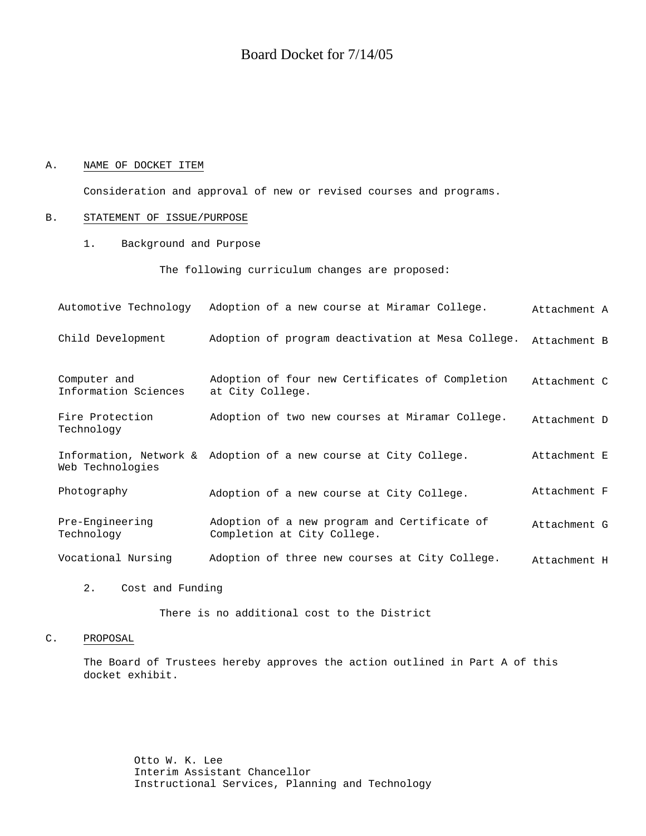# Board Docket for 7/14/05

### A. NAME OF DOCKET ITEM

Consideration and approval of new or revised courses and programs.

#### B. STATEMENT OF ISSUE/PURPOSE

1. Background and Purpose

The following curriculum changes are proposed:

| Automotive Technology                | Adoption of a new course at Miramar College.                                | Attachment A |
|--------------------------------------|-----------------------------------------------------------------------------|--------------|
| Child Development                    | Adoption of program deactivation at Mesa College.                           | Attachment B |
| Computer and<br>Information Sciences | Adoption of four new Certificates of Completion<br>at City College.         | Attachment C |
| Fire Protection<br>Technology        | Adoption of two new courses at Miramar College.                             | Attachment D |
| Web Technologies                     | Information, Network & Adoption of a new course at City College.            | Attachment E |
| Photography                          | Adoption of a new course at City College.                                   | Attachment F |
| Pre-Engineering<br>Technology        | Adoption of a new program and Certificate of<br>Completion at City College. | Attachment G |
| Vocational Nursing                   | Adoption of three new courses at City College.                              | Attachment H |

2. Cost and Funding

There is no additional cost to the District

## C. PROPOSAL

The Board of Trustees hereby approves the action outlined in Part A of this docket exhibit.

> Otto W. K. Lee Interim Assistant Chancellor Instructional Services, Planning and Technology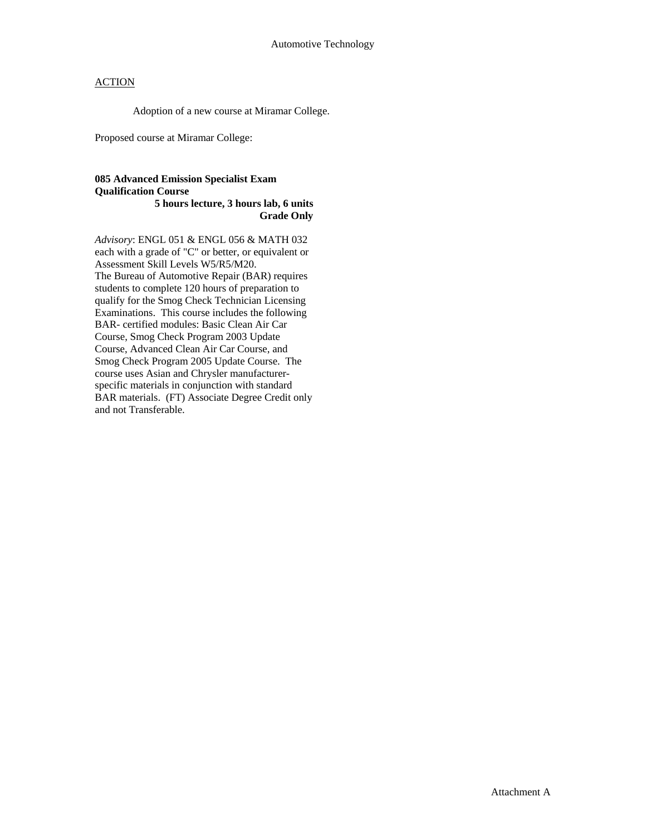Adoption of a new course at Miramar College.

Proposed course at Miramar College:

#### **085 Advanced Emission Specialist Exam Qualification Course 5 hours lecture, 3 hours lab, 6 units Grade Only**

*Advisory*: ENGL 051 & ENGL 056 & MATH 032 each with a grade of "C" or better, or equivalent or Assessment Skill Levels W5/R5/M20. The Bureau of Automotive Repair (BAR) requires students to complete 120 hours of preparation to qualify for the Smog Check Technician Licensing Examinations. This course includes the following BAR- certified modules: Basic Clean Air Car Course, Smog Check Program 2003 Update Course, Advanced Clean Air Car Course, and Smog Check Program 2005 Update Course. The course uses Asian and Chrysler manufacturerspecific materials in conjunction with standard BAR materials. (FT) Associate Degree Credit only and not Transferable.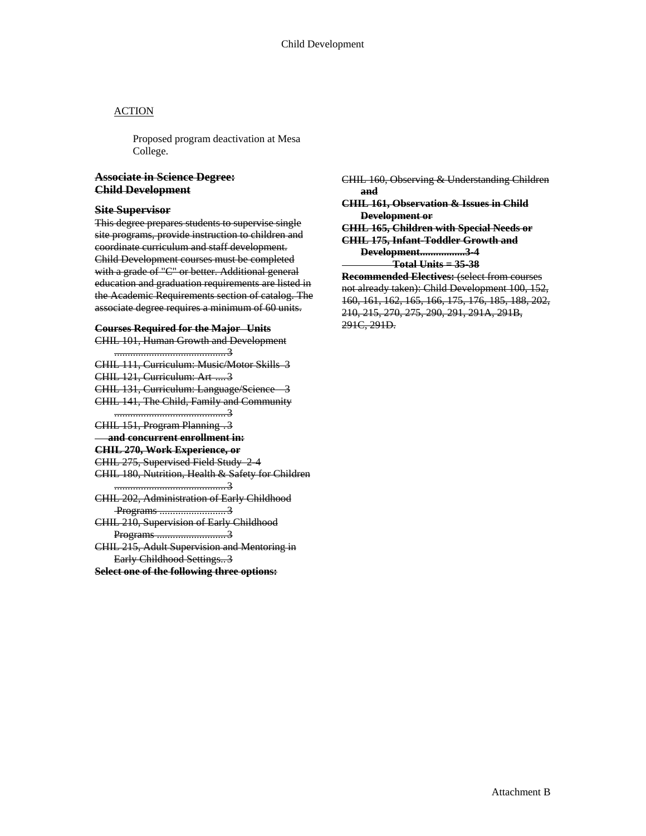Proposed program deactivation at Mesa College.

# **Associate in Science Degree: Child Development**

#### **Site Supervisor**

This degree prepares students to supervise single site programs, provide instruction to children and coordinate curriculum and staff development. Child Development courses must be completed with a grade of "C" or better. Additional general education and graduation requirements are listed in the Academic Requirements section of catalog. The associate degree requires a minimum of 60 units.

#### **Courses Required for the Major Units**

CHIL 101, Human Growth and Development

..........................................3 CHIL 111, Curriculum: Music/Motor Skills 3 CHIL 121, Curriculum: Art ....3 CHIL 131, Curriculum: Language/Science 3 CHIL 141, The Child, Family and Community ..........................................3 CHIL 151, Program Planning .3 **and concurrent enrollment in: CHIL 270, Work Experience, or** CHIL 275, Supervised Field Study 2-4 CHIL 180, Nutrition, Health & Safety for Children ..........................................3 CHIL 202, Administration of Early Childhood Programs ..............................3 CHIL 210, Supervision of Early Childhood

Programs ..........................3 CHIL 215, Adult Supervision and Mentoring in Early Childhood Settings..3

**Select one of the following three options:**

CHIL 160, Observing & Understanding Children **and CHIL 161, Observation & Issues in Child Development or CHIL 165, Children with Special Needs or CHIL 175, Infant-Toddler Growth and Development.................3-4 Total Units = 35-38 Recommended Electives:** (select from courses not already taken): Child Development 100, 152, 160, 161, 162, 165, 166, 175, 176, 185, 188, 202, 210, 215, 270, 275, 290, 291, 291A, 291B, 291C, 291D.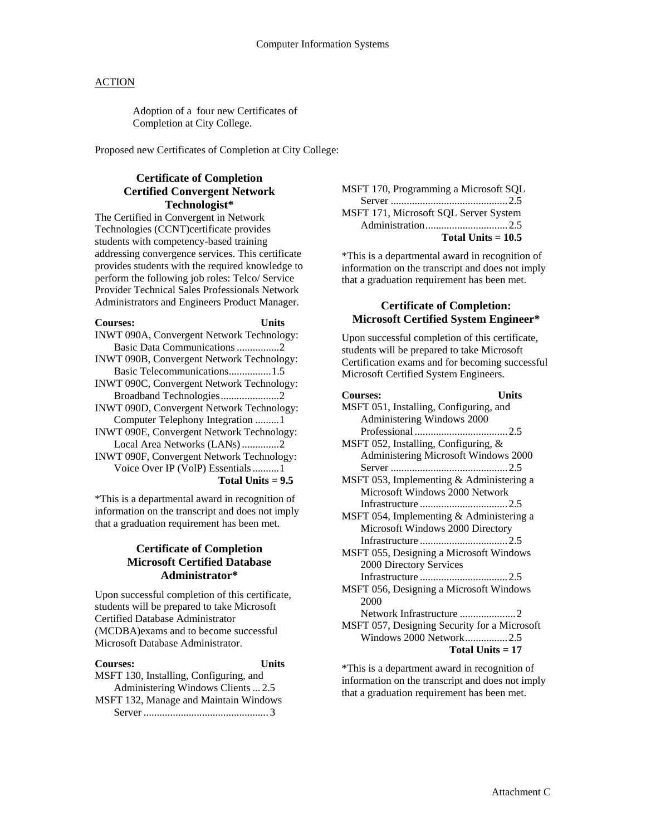Adoption of a four new Certificates of Completion at City College.

Proposed new Certificates of Completion at City College:

# **Certificate of Completion Certified Convergent Network Technologist\***

The Certified in Convergent in Network Technologies (CCNT)certificate provides students with competency-based training addressing convergence services. This certificate provides students with the required knowledge to perform the following job roles: Telco/ Service Provider Technical Sales Professionals Network Administrators and Engineers Product Manager.

**Courses: Units**

| INWT 090A, Convergent Network Technology: |
|-------------------------------------------|
| Basic Data Communications 2               |
| INWT 090B, Convergent Network Technology: |
| Basic Telecommunications1.5               |
| INWT 090C, Convergent Network Technology: |
| Broadband Technologies2                   |
| INWT 090D, Convergent Network Technology: |
| Computer Telephony Integration 1          |
| INWT 090E, Convergent Network Technology: |
| Local Area Networks (LANs) 2              |
| INWT 090F, Convergent Network Technology: |
| Voice Over IP (VolP) Essentials 1         |
| Total Units $= 9.5$                       |
|                                           |

\*This is a departmental award in recognition of information on the transcript and does not imply that a graduation requirement has been met.

# **Certificate of Completion Microsoft Certified Database Administrator\***

Upon successful completion of this certificate, students will be prepared to take Microsoft Certified Database Administrator (MCDBA)exams and to become successful Microsoft Database Administrator.

# **Courses: Units**

MSFT 130, Installing, Configuring, and Administering Windows Clients ... 2.5 MSFT 132, Manage and Maintain Windows Server ............................................... 3

MSFT 170, Programming a Microsoft SQL Server ............................................2.5 MSFT 171, Microsoft SQL Server System Administration...............................2.5 **Total Units = 10.5**

\*This is a departmental award in recognition of information on the transcript and does not imply that a graduation requirement has been met.

# **Certificate of Completion: Microsoft Certified System Engineer\***

Upon successful completion of this certificate, students will be prepared to take Microsoft Certification exams and for becoming successful Microsoft Certified System Engineers.

| <b>Courses:</b>                              | Units |
|----------------------------------------------|-------|
| MSFT 051, Installing, Configuring, and       |       |
| Administering Windows 2000                   |       |
|                                              |       |
| MSFT 052, Installing, Configuring, &         |       |
| Administering Microsoft Windows 2000         |       |
|                                              |       |
| MSFT 053, Implementing & Administering a     |       |
| Microsoft Windows 2000 Network               |       |
|                                              |       |
| MSFT 054, Implementing & Administering a     |       |
| Microsoft Windows 2000 Directory             |       |
|                                              |       |
| MSFT 055, Designing a Microsoft Windows      |       |
| 2000 Directory Services                      |       |
|                                              |       |
| MSFT 056, Designing a Microsoft Windows      |       |
| 2000                                         |       |
|                                              |       |
| MSFT 057, Designing Security for a Microsoft |       |
| Windows 2000 Network2.5                      |       |
| Total Units $= 17$                           |       |
|                                              |       |

\*This is a department award in recognition of information on the transcript and does not imply that a graduation requirement has been met.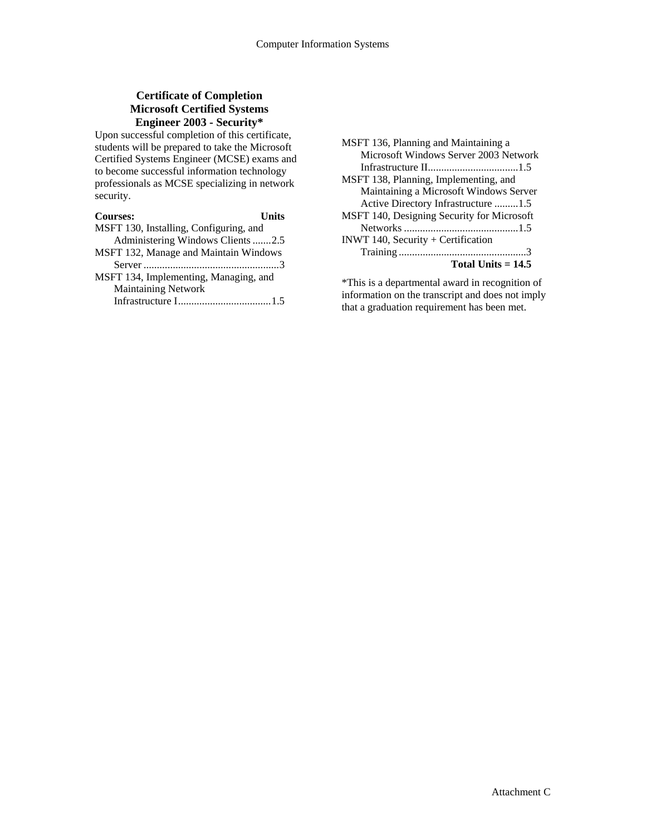# **Certificate of Completion Microsoft Certified Systems Engineer 2003 - Security\***

Upon successful completion of this certificate, students will be prepared to take the Microsoft Certified Systems Engineer (MCSE) exams and to become successful information technology professionals as MCSE specializing in network security.

| <b>Courses:</b>                        | <b>Units</b> |  |  |
|----------------------------------------|--------------|--|--|
| MSFT 130, Installing, Configuring, and |              |  |  |
| Administering Windows Clients 2.5      |              |  |  |
| MSFT 132, Manage and Maintain Windows  |              |  |  |
|                                        |              |  |  |
| MSFT 134, Implementing, Managing, and  |              |  |  |
| <b>Maintaining Network</b>             |              |  |  |
|                                        |              |  |  |

| MSFT 136, Planning and Maintaining a       |
|--------------------------------------------|
| Microsoft Windows Server 2003 Network      |
|                                            |
| MSFT 138, Planning, Implementing, and      |
| Maintaining a Microsoft Windows Server     |
| Active Directory Infrastructure 1.5        |
| MSFT 140, Designing Security for Microsoft |
|                                            |
| INWT 140, Security + Certification         |
|                                            |
| Total Units $= 14.5$                       |

\*This is a departmental award in recognition of information on the transcript and does not imply that a graduation requirement has been met.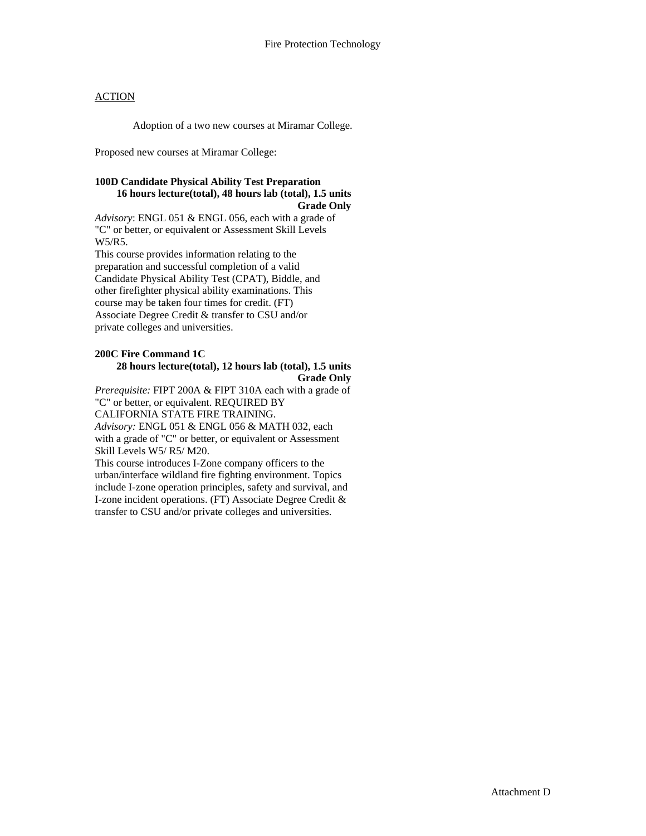Adoption of a two new courses at Miramar College.

Proposed new courses at Miramar College:

#### **100D Candidate Physical Ability Test Preparation 16 hours lecture(total), 48 hours lab (total), 1.5 units Grade Only**

*Advisory*: ENGL 051 & ENGL 056, each with a grade of "C" or better, or equivalent or Assessment Skill Levels W5/R5.

This course provides information relating to the preparation and successful completion of a valid Candidate Physical Ability Test (CPAT), Biddle, and other firefighter physical ability examinations. This course may be taken four times for credit. (FT) Associate Degree Credit & transfer to CSU and/or private colleges and universities.

### **200C Fire Command 1C 28 hours lecture(total), 12 hours lab (total), 1.5 units Grade Only**

*Prerequisite:* FIPT 200A & FIPT 310A each with a grade of "C" or better, or equivalent. REQUIRED BY CALIFORNIA STATE FIRE TRAINING. *Advisory:* ENGL 051 & ENGL 056 & MATH 032, each with a grade of "C" or better, or equivalent or Assessment Skill Levels W5/ R5/ M20.

This course introduces I-Zone company officers to the urban/interface wildland fire fighting environment. Topics include I-zone operation principles, safety and survival, and I-zone incident operations. (FT) Associate Degree Credit & transfer to CSU and/or private colleges and universities.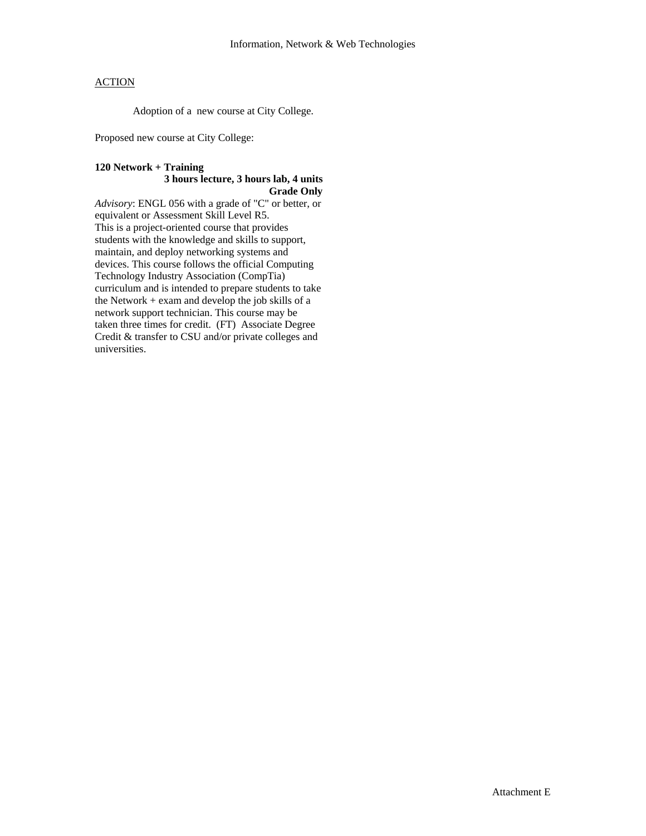Adoption of a new course at City College.

Proposed new course at City College:

## **120 Network + Training 3 hours lecture, 3 hours lab, 4 units Grade Only**

*Advisory*: ENGL 056 with a grade of "C" or better, or equivalent or Assessment Skill Level R5. This is a project-oriented course that provides students with the knowledge and skills to support, maintain, and deploy networking systems and devices. This course follows the official Computing Technology Industry Association (CompTia) curriculum and is intended to prepare students to take the Network + exam and develop the job skills of a network support technician. This course may be taken three times for credit. (FT) Associate Degree Credit & transfer to CSU and/or private colleges and universities.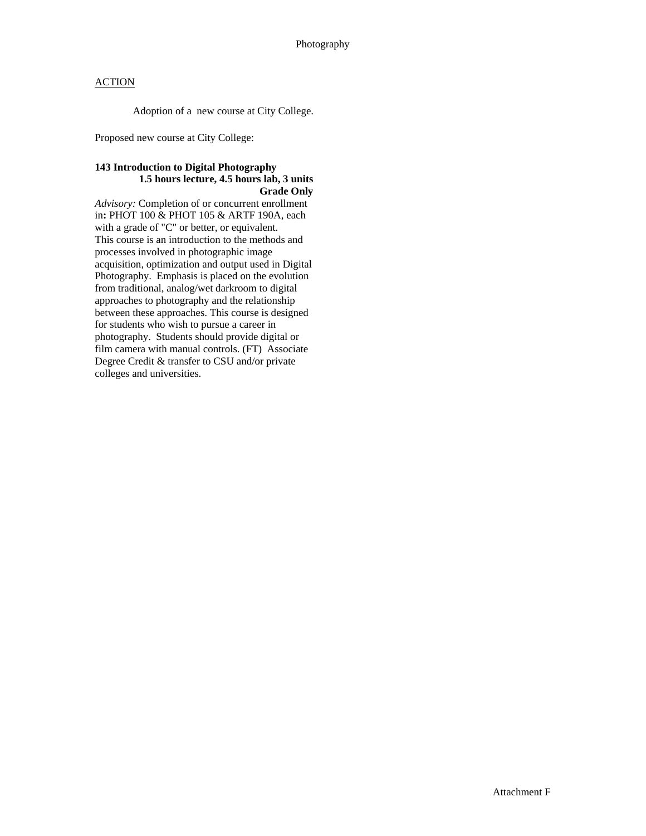Adoption of a new course at City College.

Proposed new course at City College:

# **143 Introduction to Digital Photography 1.5 hours lecture, 4.5 hours lab, 3 units Grade Only**

*Advisory:* Completion of or concurrent enrollment in**:** PHOT 100 & PHOT 105 & ARTF 190A, each with a grade of "C" or better, or equivalent. This course is an introduction to the methods and processes involved in photographic image acquisition, optimization and output used in Digital Photography. Emphasis is placed on the evolution from traditional, analog/wet darkroom to digital approaches to photography and the relationship between these approaches. This course is designed for students who wish to pursue a career in photography. Students should provide digital or film camera with manual controls. (FT) Associate Degree Credit & transfer to CSU and/or private colleges and universities.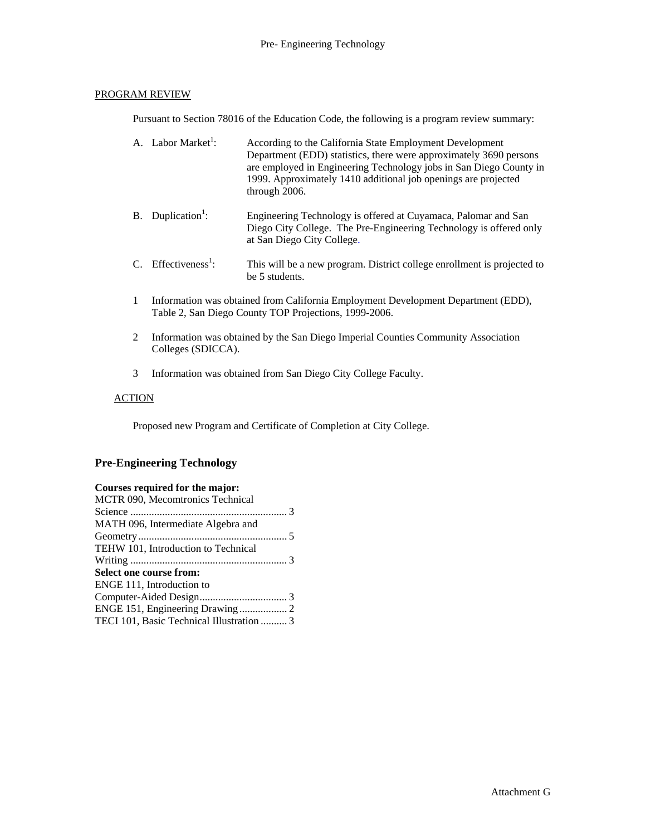# PROGRAM REVIEW

Pursuant to Section 78016 of the Education Code, the following is a program review summary:

| A. Labor Market <sup>1</sup> :  | According to the California State Employment Development<br>Department (EDD) statistics, there were approximately 3690 persons<br>are employed in Engineering Technology jobs in San Diego County in<br>1999. Approximately 1410 additional job openings are projected<br>through 2006. |
|---------------------------------|-----------------------------------------------------------------------------------------------------------------------------------------------------------------------------------------------------------------------------------------------------------------------------------------|
| B. Duplication <sup>1</sup> :   | Engineering Technology is offered at Cuyamaca, Palomar and San<br>Diego City College. The Pre-Engineering Technology is offered only<br>at San Diego City College.                                                                                                                      |
| C. Effectiveness <sup>1</sup> : | This will be a new program. District college enrollment is projected to<br>be 5 students.                                                                                                                                                                                               |

- 1 Information was obtained from California Employment Development Department (EDD), Table 2, San Diego County TOP Projections, 1999-2006.
- 2 Information was obtained by the San Diego Imperial Counties Community Association Colleges (SDICCA).
- 3 Information was obtained from San Diego City College Faculty.

# **ACTION**

Proposed new Program and Certificate of Completion at City College.

# **Pre-Engineering Technology**

# **Courses required for the major:**

| MCTR 090, Mecomtronics Technical          |
|-------------------------------------------|
|                                           |
| MATH 096, Intermediate Algebra and        |
|                                           |
| TEHW 101, Introduction to Technical       |
|                                           |
| Select one course from:                   |
| ENGE 111, Introduction to                 |
|                                           |
|                                           |
| TECI 101, Basic Technical Illustration  3 |